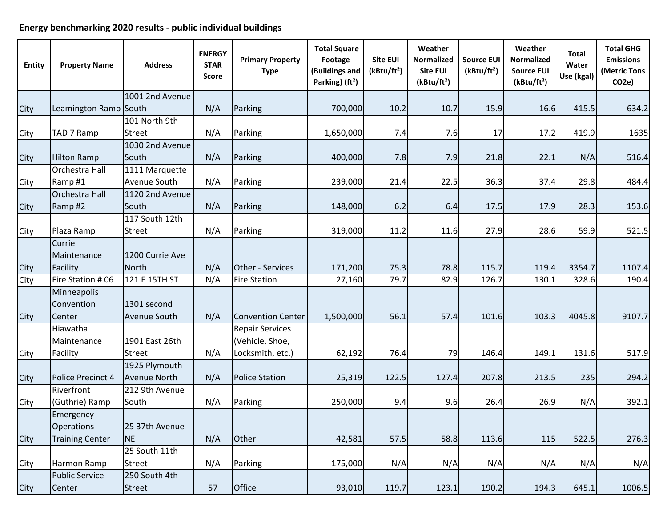## **Energy benchmarking 2020 results ‐ public individual buildings**

| <b>Entity</b> | <b>Property Name</b>   | <b>Address</b>      | <b>ENERGY</b><br><b>STAR</b><br><b>Score</b> | <b>Primary Property</b><br><b>Type</b> | <b>Total Square</b><br>Footage<br>(Buildings and<br>Parking) (ft <sup>2</sup> ) | <b>Site EUI</b><br>(kBtu/ft <sup>2</sup> ) | Weather<br>Normalized<br><b>Site EUI</b><br>(kBtu/ft <sup>2</sup> ) | <b>Source EUI</b><br>(kBtu/ft <sup>2</sup> ) | Weather<br><b>Normalized</b><br><b>Source EUI</b><br>(kBtu/ft <sup>2</sup> ) | <b>Total</b><br>Water<br>Use (kgal) | <b>Total GHG</b><br><b>Emissions</b><br>(Metric Tons<br>CO <sub>2</sub> e) |
|---------------|------------------------|---------------------|----------------------------------------------|----------------------------------------|---------------------------------------------------------------------------------|--------------------------------------------|---------------------------------------------------------------------|----------------------------------------------|------------------------------------------------------------------------------|-------------------------------------|----------------------------------------------------------------------------|
|               |                        | 1001 2nd Avenue     |                                              |                                        |                                                                                 |                                            |                                                                     |                                              |                                                                              |                                     |                                                                            |
| City          | Leamington Ramp South  |                     | N/A                                          | Parking                                | 700,000                                                                         | 10.2                                       | 10.7                                                                | 15.9                                         | 16.6                                                                         | 415.5                               | 634.2                                                                      |
|               |                        | 101 North 9th       |                                              |                                        |                                                                                 |                                            |                                                                     |                                              |                                                                              |                                     |                                                                            |
| City          | TAD 7 Ramp             | <b>Street</b>       | N/A                                          | Parking                                | 1,650,000                                                                       | 7.4                                        | 7.6                                                                 | 17                                           | 17.2                                                                         | 419.9                               | 1635                                                                       |
|               |                        | 1030 2nd Avenue     |                                              |                                        |                                                                                 |                                            |                                                                     |                                              |                                                                              |                                     |                                                                            |
| City          | <b>Hilton Ramp</b>     | South               | N/A                                          | Parking                                | 400,000                                                                         | 7.8                                        | 7.9                                                                 | 21.8                                         | 22.1                                                                         | N/A                                 | 516.4                                                                      |
|               | Orchestra Hall         | 1111 Marquette      |                                              |                                        |                                                                                 |                                            |                                                                     |                                              |                                                                              |                                     |                                                                            |
| City          | Ramp#1                 | Avenue South        | N/A                                          | Parking                                | 239,000                                                                         | 21.4                                       | 22.5                                                                | 36.3                                         | 37.4                                                                         | 29.8                                | 484.4                                                                      |
|               | Orchestra Hall         | 1120 2nd Avenue     |                                              |                                        |                                                                                 |                                            |                                                                     |                                              |                                                                              |                                     |                                                                            |
| City          | Ramp#2                 | South               | N/A                                          | Parking                                | 148,000                                                                         | 6.2                                        | 6.4                                                                 | 17.5                                         | 17.9                                                                         | 28.3                                | 153.6                                                                      |
|               |                        | 117 South 12th      |                                              |                                        |                                                                                 |                                            |                                                                     |                                              |                                                                              |                                     |                                                                            |
| City          | Plaza Ramp             | <b>Street</b>       | N/A                                          | Parking                                | 319,000                                                                         | 11.2                                       | 11.6                                                                | 27.9                                         | 28.6                                                                         | 59.9                                | 521.5                                                                      |
|               | Currie                 |                     |                                              |                                        |                                                                                 |                                            |                                                                     |                                              |                                                                              |                                     |                                                                            |
|               | Maintenance            | 1200 Currie Ave     |                                              |                                        |                                                                                 |                                            |                                                                     |                                              |                                                                              |                                     |                                                                            |
| City          | Facility               | <b>North</b>        | N/A                                          | Other - Services                       | 171,200                                                                         | 75.3                                       | 78.8                                                                | 115.7                                        | 119.4                                                                        | 3354.7                              | 1107.4                                                                     |
| City          | Fire Station #06       | 121 E 15TH ST       | N/A                                          | <b>Fire Station</b>                    | 27,160                                                                          | 79.7                                       | 82.9                                                                | 126.7                                        | 130.1                                                                        | 328.6                               | 190.4                                                                      |
|               | Minneapolis            |                     |                                              |                                        |                                                                                 |                                            |                                                                     |                                              |                                                                              |                                     |                                                                            |
|               | Convention             | 1301 second         |                                              |                                        |                                                                                 |                                            |                                                                     |                                              |                                                                              |                                     |                                                                            |
| City          | Center                 | Avenue South        | N/A                                          | <b>Convention Center</b>               | 1,500,000                                                                       | 56.1                                       | 57.4                                                                | 101.6                                        | 103.3                                                                        | 4045.8                              | 9107.7                                                                     |
|               | Hiawatha               |                     |                                              | <b>Repair Services</b>                 |                                                                                 |                                            |                                                                     |                                              |                                                                              |                                     |                                                                            |
|               | Maintenance            | 1901 East 26th      |                                              | (Vehicle, Shoe,                        |                                                                                 |                                            |                                                                     |                                              |                                                                              |                                     |                                                                            |
| City          | Facility               | <b>Street</b>       | N/A                                          | Locksmith, etc.)                       | 62,192                                                                          | 76.4                                       | 79                                                                  | 146.4                                        | 149.1                                                                        | 131.6                               | 517.9                                                                      |
|               |                        | 1925 Plymouth       |                                              |                                        |                                                                                 |                                            |                                                                     |                                              |                                                                              |                                     |                                                                            |
| City          | Police Precinct 4      | <b>Avenue North</b> | N/A                                          | <b>Police Station</b>                  | 25,319                                                                          | 122.5                                      | 127.4                                                               | 207.8                                        | 213.5                                                                        | 235                                 | 294.2                                                                      |
|               | Riverfront             | 212 9th Avenue      |                                              |                                        |                                                                                 |                                            |                                                                     |                                              |                                                                              |                                     |                                                                            |
| City          | (Guthrie) Ramp         | South               | N/A                                          | Parking                                | 250,000                                                                         | 9.4                                        | 9.6                                                                 | 26.4                                         | 26.9                                                                         | N/A                                 | 392.1                                                                      |
|               | Emergency              |                     |                                              |                                        |                                                                                 |                                            |                                                                     |                                              |                                                                              |                                     |                                                                            |
|               | Operations             | 25 37th Avenue      |                                              |                                        |                                                                                 |                                            |                                                                     |                                              |                                                                              |                                     |                                                                            |
| City          | <b>Training Center</b> | <b>NE</b>           | N/A                                          | Other                                  | 42,581                                                                          | 57.5                                       | 58.8                                                                | 113.6                                        | 115                                                                          | 522.5                               | 276.3                                                                      |
|               |                        | 25 South 11th       |                                              |                                        |                                                                                 |                                            |                                                                     |                                              |                                                                              |                                     |                                                                            |
| City          | Harmon Ramp            | <b>Street</b>       | N/A                                          | Parking                                | 175,000                                                                         | N/A                                        | N/A                                                                 | N/A                                          | N/A                                                                          | N/A                                 | N/A                                                                        |
|               | <b>Public Service</b>  | 250 South 4th       |                                              |                                        |                                                                                 |                                            |                                                                     |                                              |                                                                              |                                     |                                                                            |
| City          | Center                 | <b>Street</b>       | 57                                           | Office                                 | 93,010                                                                          | 119.7                                      | 123.1                                                               | 190.2                                        | 194.3                                                                        | 645.1                               | 1006.5                                                                     |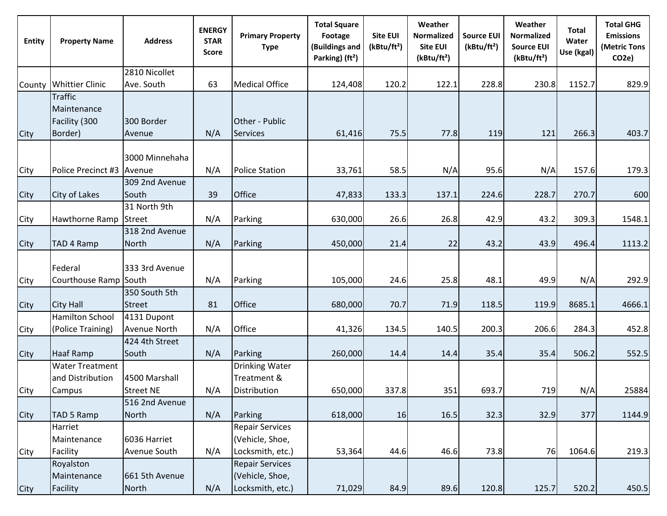| <b>Entity</b> | <b>Property Name</b>                                      | <b>Address</b>                     | <b>ENERGY</b><br><b>STAR</b><br><b>Score</b> | <b>Primary Property</b><br><b>Type</b>                        | <b>Total Square</b><br>Footage<br>(Buildings and<br>Parking) (ft <sup>2</sup> ) | <b>Site EUI</b><br>(kBtu/ft <sup>2</sup> ) | Weather<br><b>Normalized</b><br>Site EUI<br>(kBtu/ft <sup>2</sup> ) | <b>Source EUI</b><br>(kBtu/ft <sup>2</sup> ) | Weather<br><b>Normalized</b><br><b>Source EUI</b><br>(kBtu/ft <sup>2</sup> ) | <b>Total</b><br>Water<br>Use (kgal) | <b>Total GHG</b><br><b>Emissions</b><br>(Metric Tons<br>CO <sub>2</sub> e) |
|---------------|-----------------------------------------------------------|------------------------------------|----------------------------------------------|---------------------------------------------------------------|---------------------------------------------------------------------------------|--------------------------------------------|---------------------------------------------------------------------|----------------------------------------------|------------------------------------------------------------------------------|-------------------------------------|----------------------------------------------------------------------------|
|               |                                                           | 2810 Nicollet                      |                                              |                                                               |                                                                                 |                                            |                                                                     |                                              |                                                                              |                                     |                                                                            |
| County        | <b>Whittier Clinic</b>                                    | Ave. South                         | 63                                           | <b>Medical Office</b>                                         | 124,408                                                                         | 120.2                                      | 122.1                                                               | 228.8                                        | 230.8                                                                        | 1152.7                              | 829.9                                                                      |
| City          | <b>Traffic</b><br>Maintenance<br>Facility (300<br>Border) | 300 Border<br>Avenue               | N/A                                          | Other - Public<br><b>Services</b>                             | 61,416                                                                          | 75.5                                       | 77.8                                                                | 119                                          | 121                                                                          | 266.3                               | 403.7                                                                      |
| City          | Police Precinct #3                                        | 3000 Minnehaha<br>Avenue           | N/A                                          | <b>Police Station</b>                                         | 33,761                                                                          | 58.5                                       | N/A                                                                 | 95.6                                         | N/A                                                                          | 157.6                               | 179.3                                                                      |
| City          | <b>City of Lakes</b>                                      | 309 2nd Avenue<br>South            | 39                                           | Office                                                        | 47,833                                                                          | 133.3                                      | 137.1                                                               | 224.6                                        | 228.7                                                                        | 270.7                               | 600                                                                        |
| City          | Hawthorne Ramp                                            | 31 North 9th<br><b>Street</b>      | N/A                                          | Parking                                                       | 630,000                                                                         | 26.6                                       | 26.8                                                                | 42.9                                         | 43.2                                                                         | 309.3                               | 1548.1                                                                     |
| City          | TAD 4 Ramp                                                | 318 2nd Avenue<br><b>North</b>     | N/A                                          | Parking                                                       | 450,000                                                                         | 21.4                                       | 22                                                                  | 43.2                                         | 43.9                                                                         | 496.4                               | 1113.2                                                                     |
| City          | Federal<br>Courthouse Ramp South                          | 333 3rd Avenue                     | N/A                                          | Parking                                                       | 105,000                                                                         | 24.6                                       | 25.8                                                                | 48.1                                         | 49.9                                                                         | N/A                                 | 292.9                                                                      |
| City          | <b>City Hall</b>                                          | 350 South 5th<br><b>Street</b>     | 81                                           | Office                                                        | 680,000                                                                         | 70.7                                       | 71.9                                                                | 118.5                                        | 119.9                                                                        | 8685.1                              | 4666.1                                                                     |
| City          | Hamilton School<br>(Police Training)                      | 4131 Dupont<br><b>Avenue North</b> | N/A                                          | Office                                                        | 41,326                                                                          | 134.5                                      | 140.5                                                               | 200.3                                        | 206.6                                                                        | 284.3                               | 452.8                                                                      |
| City          | Haaf Ramp                                                 | 424 4th Street<br>South            | N/A                                          | Parking                                                       | 260,000                                                                         | 14.4                                       | 14.4                                                                | 35.4                                         | 35.4                                                                         | 506.2                               | 552.5                                                                      |
| City          | <b>Water Treatment</b><br>and Distribution<br>Campus      | 4500 Marshall<br><b>Street NE</b>  | N/A                                          | <b>Drinking Water</b><br>Treatment &<br>Distribution          | 650,000                                                                         | 337.8                                      | 351                                                                 | 693.7                                        | 719                                                                          | N/A                                 | 25884                                                                      |
| City          | <b>TAD 5 Ramp</b>                                         | 516 2nd Avenue<br>North            | N/A                                          | Parking                                                       | 618,000                                                                         | 16                                         | 16.5                                                                | 32.3                                         | 32.9                                                                         | 377                                 | 1144.9                                                                     |
| City          | Harriet<br>Maintenance<br>Facility                        | 6036 Harriet<br>Avenue South       | N/A                                          | <b>Repair Services</b><br>(Vehicle, Shoe,<br>Locksmith, etc.) | 53,364                                                                          | 44.6                                       | 46.6                                                                | 73.8                                         | 76                                                                           | 1064.6                              | 219.3                                                                      |
| City          | Royalston<br>Maintenance<br>Facility                      | 661 5th Avenue<br><b>North</b>     | N/A                                          | <b>Repair Services</b><br>(Vehicle, Shoe,<br>Locksmith, etc.) | 71,029                                                                          | 84.9                                       | 89.6                                                                | 120.8                                        | 125.7                                                                        | 520.2                               | 450.5                                                                      |